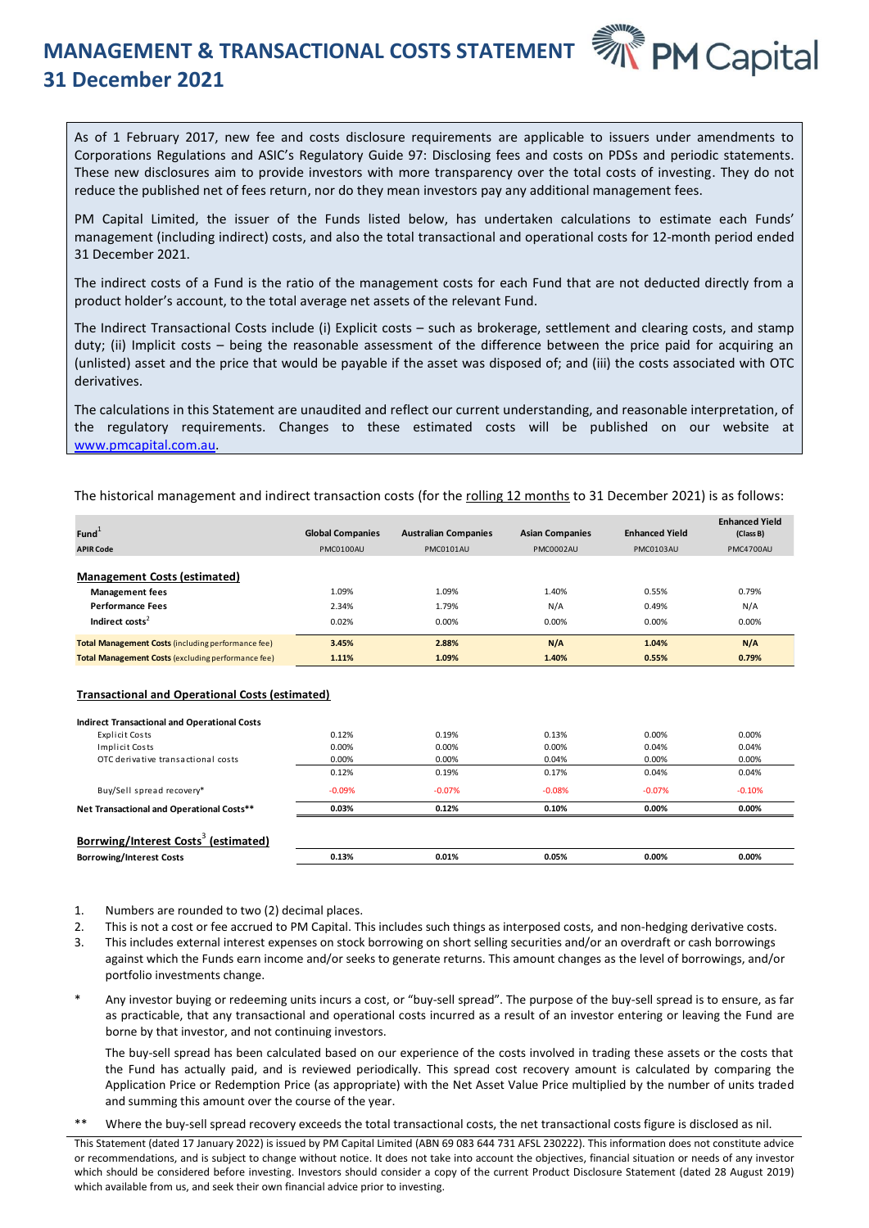## **MANAGEMENT & TRANSACTIONAL COSTS STATEMENT 31 December 2021**



As of 1 February 2017, new fee and costs disclosure requirements are applicable to issuers under amendments to Corporations Regulations and ASIC's Regulatory Guide 97: Disclosing fees and costs on PDSs and periodic statements. These new disclosures aim to provide investors with more transparency over the total costs of investing. They do not reduce the published net of fees return, nor do they mean investors pay any additional management fees.

PM Capital Limited, the issuer of the Funds listed below, has undertaken calculations to estimate each Funds' management (including indirect) costs, and also the total transactional and operational costs for 12-month period ended 31 December 2021.

The indirect costs of a Fund is the ratio of the management costs for each Fund that are not deducted directly from a product holder's account, to the total average net assets of the relevant Fund.

The Indirect Transactional Costs include (i) Explicit costs – such as brokerage, settlement and clearing costs, and stamp duty; (ii) Implicit costs – being the reasonable assessment of the difference between the price paid for acquiring an (unlisted) asset and the price that would be payable if the asset was disposed of; and (iii) the costs associated with OTC derivatives.

The calculations in this Statement are unaudited and reflect our current understanding, and reasonable interpretation, of the regulatory requirements. Changes to these estimated costs will be published on our website at [www.pmcapital.com.au.](http://www.pmcapital.com.au/)

The historical management and indirect transaction costs (for the rolling 12 months to 31 December 2021) is as follows:

| $Fund+$                                                                                                          | <b>Global Companies</b> | <b>Australian Companies</b> | <b>Asian Companies</b> | <b>Enhanced Yield</b>   | <b>Enhanced Yield</b><br>(Class B) |
|------------------------------------------------------------------------------------------------------------------|-------------------------|-----------------------------|------------------------|-------------------------|------------------------------------|
| <b>APIR Code</b>                                                                                                 | PMC0100AU               | PMC0101AU                   | PMC0002AU              | PMC0103AU               | PMC4700AU                          |
| Management Costs (estimated)<br><b>Management fees</b><br><b>Performance Fees</b><br>Indirect costs <sup>2</sup> | 1.09%<br>2.34%<br>0.02% | 1.09%<br>1.79%<br>0.00%     | 1.40%<br>N/A<br>0.00%  | 0.55%<br>0.49%<br>0.00% | 0.79%<br>N/A<br>0.00%              |
| <b>Total Management Costs (including performance fee)</b>                                                        | 3.45%                   | 2.88%                       | N/A                    | 1.04%                   | N/A                                |
| <b>Total Management Costs (excluding performance fee)</b>                                                        | 1.11%                   | 1.09%                       | 1.40%                  | 0.55%                   | 0.79%                              |

## **Transactional and Operational Costs (estimated)**

| Fund <sup>+</sup>                                                                                                                                                                                                                                                                                                                                                                                                                                                                                        | <b>Global Companies</b> | <b>Australian Companies</b> | <b>Asian Companies</b> | <b>Enhanced Yield</b> | (Class B) |
|----------------------------------------------------------------------------------------------------------------------------------------------------------------------------------------------------------------------------------------------------------------------------------------------------------------------------------------------------------------------------------------------------------------------------------------------------------------------------------------------------------|-------------------------|-----------------------------|------------------------|-----------------------|-----------|
| <b>APIR Code</b>                                                                                                                                                                                                                                                                                                                                                                                                                                                                                         | PMC0100AU               | PMC0101AU                   | PMC0002AU              | PMC0103AU             | PMC4700AU |
|                                                                                                                                                                                                                                                                                                                                                                                                                                                                                                          |                         |                             |                        |                       |           |
| <b>Management Costs (estimated)</b>                                                                                                                                                                                                                                                                                                                                                                                                                                                                      |                         |                             |                        |                       |           |
| <b>Management fees</b>                                                                                                                                                                                                                                                                                                                                                                                                                                                                                   | 1.09%                   | 1.09%                       | 1.40%                  | 0.55%                 | 0.79%     |
| <b>Performance Fees</b>                                                                                                                                                                                                                                                                                                                                                                                                                                                                                  | 2.34%                   | 1.79%                       | N/A                    | 0.49%                 | N/A       |
| Indirect costs <sup>2</sup>                                                                                                                                                                                                                                                                                                                                                                                                                                                                              | 0.02%                   | 0.00%                       | 0.00%                  | 0.00%                 | 0.00%     |
| <b>Total Management Costs (including performance fee)</b>                                                                                                                                                                                                                                                                                                                                                                                                                                                | 3.45%                   | 2.88%                       | N/A                    | 1.04%                 | N/A       |
| <b>Total Management Costs (excluding performance fee)</b>                                                                                                                                                                                                                                                                                                                                                                                                                                                | 1.11%                   | 1.09%                       | 1.40%                  | 0.55%                 | 0.79%     |
| <b>Transactional and Operational Costs (estimated)</b>                                                                                                                                                                                                                                                                                                                                                                                                                                                   |                         |                             |                        |                       |           |
| <b>Indirect Transactional and Operational Costs</b>                                                                                                                                                                                                                                                                                                                                                                                                                                                      |                         |                             |                        |                       |           |
| Explicit Costs                                                                                                                                                                                                                                                                                                                                                                                                                                                                                           | 0.12%                   | 0.19%                       | 0.13%                  | 0.00%                 | 0.00%     |
| <b>Implicit Costs</b>                                                                                                                                                                                                                                                                                                                                                                                                                                                                                    | 0.00%                   | 0.00%                       | 0.00%                  | 0.04%                 | 0.04%     |
| OTC derivative transactional costs                                                                                                                                                                                                                                                                                                                                                                                                                                                                       | 0.00%                   | 0.00%                       | 0.04%                  | 0.00%                 | 0.00%     |
|                                                                                                                                                                                                                                                                                                                                                                                                                                                                                                          | 0.12%                   | 0.19%                       | 0.17%                  | 0.04%                 | 0.04%     |
| Buy/Sell spread recovery*                                                                                                                                                                                                                                                                                                                                                                                                                                                                                | $-0.09%$                | $-0.07%$                    | $-0.08%$               | $-0.07%$              | $-0.10%$  |
| Net Transactional and Operational Costs**                                                                                                                                                                                                                                                                                                                                                                                                                                                                | 0.03%                   | 0.12%                       | 0.10%                  | 0.00%                 | 0.00%     |
|                                                                                                                                                                                                                                                                                                                                                                                                                                                                                                          |                         |                             |                        |                       |           |
| Borrwing/Interest Costs <sup>3</sup> (estimated)                                                                                                                                                                                                                                                                                                                                                                                                                                                         |                         |                             |                        |                       |           |
| <b>Borrowing/Interest Costs</b>                                                                                                                                                                                                                                                                                                                                                                                                                                                                          | 0.13%                   | 0.01%                       | 0.05%                  | 0.00%                 | 0.00%     |
| Numbers are rounded to two (2) decimal places.<br>1.<br>This is not a cost or fee accrued to PM Capital. This includes such things as interposed costs, and non-hedging derivative costs.<br>2.<br>This includes external interest expenses on stock borrowing on short selling securities and/or an overdraft or cash borrowings<br>3.<br>against which the Funds earn income and/or seeks to generate returns. This amount changes as the level of borrowings, and/or<br>portfolio investments change. |                         |                             |                        |                       |           |
| $\ast$<br>Any investor buying or redeeming units incurs a cost, or "buy-sell spread". The purpose of the buy-sell spread is to ensure, as far<br>as practicable, that any transactional and operational costs incurred as a result of an investor entering or leaving the Fund are<br>borne by that investor, and not continuing investors.                                                                                                                                                              |                         |                             |                        |                       |           |
| The buy-sell spread has been calculated based on our experience of the costs involved in trading these assets or the costs that<br>the Fund has actually paid, and is reviewed periodically. This spread cost recovery amount is calculated by comparing the<br>Application Price or Redemption Price (as appropriate) with the Net Asset Value Price multiplied by the number of units traded<br>and summing this amount over the course of the year.                                                   |                         |                             |                        |                       |           |
| $**$<br>Where the buy-sell spread recovery exceeds the total transactional costs, the net transactional costs figure is disclosed as nil.                                                                                                                                                                                                                                                                                                                                                                |                         |                             |                        |                       |           |

- 1. Numbers are rounded to two (2) decimal places.
- 2. This is not a cost or fee accrued to PM Capital. This includes such things as interposed costs, and non-hedging derivative costs.
- 3. This includes external interest expenses on stock borrowing on short selling securities and/or an overdraft or cash borrowings against which the Funds earn income and/or seeks to generate returns. This amount changes as the level of borrowings, and/or portfolio investments change.
- Any investor buying or redeeming units incurs a cost, or "buy-sell spread". The purpose of the buy-sell spread is to ensure, as far as practicable, that any transactional and operational costs incurred as a result of an investor entering or leaving the Fund are borne by that investor, and not continuing investors.

This Statement (dated 17 January 2022) is issued by PM Capital Limited (ABN 69 083 644 731 AFSL 230222). This information does not constitute advice or recommendations, and is subject to change without notice. It does not take into account the objectives, financial situation or needs of any investor which should be considered before investing. Investors should consider a copy of the current Product Disclosure Statement (dated 28 August 2019) which available from us, and seek their own financial advice prior to investing.